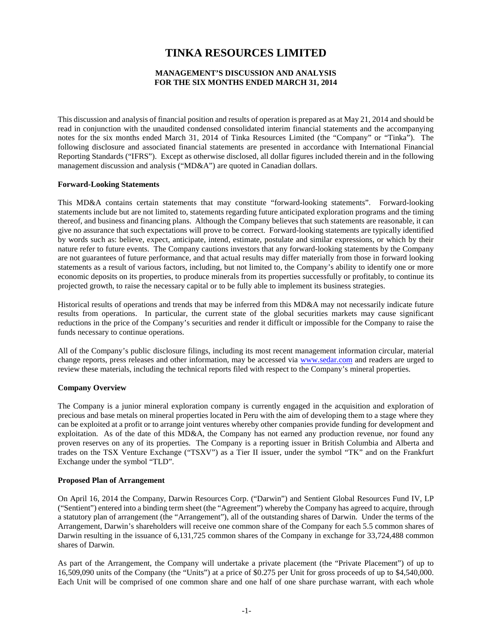# **TINKA RESOURCES LIMITED**

# **MANAGEMENT'S DISCUSSION AND ANALYSIS FOR THE SIX MONTHS ENDED MARCH 31, 2014**

This discussion and analysis of financial position and results of operation is prepared as at May 21, 2014 and should be read in conjunction with the unaudited condensed consolidated interim financial statements and the accompanying notes for the six months ended March 31, 2014 of Tinka Resources Limited (the "Company" or "Tinka"). The following disclosure and associated financial statements are presented in accordance with International Financial Reporting Standards ("IFRS"). Except as otherwise disclosed, all dollar figures included therein and in the following management discussion and analysis ("MD&A") are quoted in Canadian dollars.

#### **Forward-Looking Statements**

This MD&A contains certain statements that may constitute "forward-looking statements". Forward-looking statements include but are not limited to, statements regarding future anticipated exploration programs and the timing thereof, and business and financing plans. Although the Company believes that such statements are reasonable, it can give no assurance that such expectations will prove to be correct. Forward-looking statements are typically identified by words such as: believe, expect, anticipate, intend, estimate, postulate and similar expressions, or which by their nature refer to future events. The Company cautions investors that any forward-looking statements by the Company are not guarantees of future performance, and that actual results may differ materially from those in forward looking statements as a result of various factors, including, but not limited to, the Company's ability to identify one or more economic deposits on its properties, to produce minerals from its properties successfully or profitably, to continue its projected growth, to raise the necessary capital or to be fully able to implement its business strategies.

Historical results of operations and trends that may be inferred from this MD&A may not necessarily indicate future results from operations. In particular, the current state of the global securities markets may cause significant reductions in the price of the Company's securities and render it difficult or impossible for the Company to raise the funds necessary to continue operations.

All of the Company's public disclosure filings, including its most recent management information circular, material change reports, press releases and other information, may be accessed via [www.sedar.com](http://www.sedar.com/) and readers are urged to review these materials, including the technical reports filed with respect to the Company's mineral properties.

#### **Company Overview**

The Company is a junior mineral exploration company is currently engaged in the acquisition and exploration of precious and base metals on mineral properties located in Peru with the aim of developing them to a stage where they can be exploited at a profit or to arrange joint ventures whereby other companies provide funding for development and exploitation. As of the date of this MD&A, the Company has not earned any production revenue, nor found any proven reserves on any of its properties. The Company is a reporting issuer in British Columbia and Alberta and trades on the TSX Venture Exchange ("TSXV") as a Tier II issuer, under the symbol "TK" and on the Frankfurt Exchange under the symbol "TLD".

#### **Proposed Plan of Arrangement**

On April 16, 2014 the Company, Darwin Resources Corp. ("Darwin") and Sentient Global Resources Fund IV, LP ("Sentient") entered into a binding term sheet (the "Agreement") whereby the Company has agreed to acquire, through a statutory plan of arrangement (the "Arrangement"), all of the outstanding shares of Darwin. Under the terms of the Arrangement, Darwin's shareholders will receive one common share of the Company for each 5.5 common shares of Darwin resulting in the issuance of 6,131,725 common shares of the Company in exchange for 33,724,488 common shares of Darwin.

As part of the Arrangement, the Company will undertake a private placement (the "Private Placement") of up to 16,509,090 units of the Company (the "Units") at a price of \$0.275 per Unit for gross proceeds of up to \$4,540,000. Each Unit will be comprised of one common share and one half of one share purchase warrant, with each whole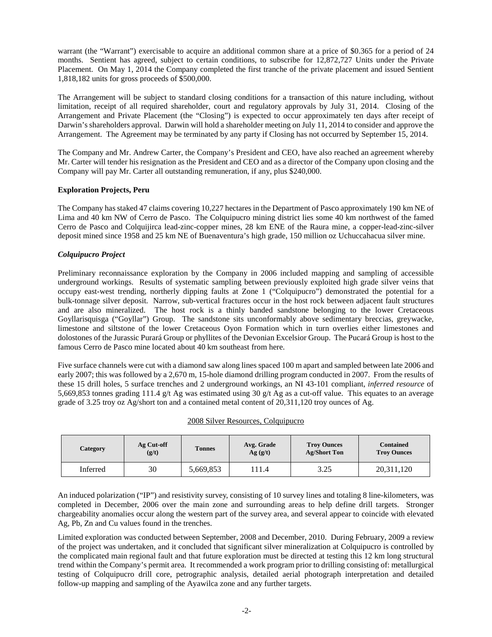warrant (the "Warrant") exercisable to acquire an additional common share at a price of \$0.365 for a period of 24 months. Sentient has agreed, subject to certain conditions, to subscribe for 12,872,727 Units under the Private Placement. On May 1, 2014 the Company completed the first tranche of the private placement and issued Sentient 1,818,182 units for gross proceeds of \$500,000.

The Arrangement will be subject to standard closing conditions for a transaction of this nature including, without limitation, receipt of all required shareholder, court and regulatory approvals by July 31, 2014. Closing of the Arrangement and Private Placement (the "Closing") is expected to occur approximately ten days after receipt of Darwin's shareholders approval. Darwin will hold a shareholder meeting on July 11, 2014 to consider and approve the Arrangement. The Agreement may be terminated by any party if Closing has not occurred by September 15, 2014.

The Company and Mr. Andrew Carter, the Company's President and CEO, have also reached an agreement whereby Mr. Carter will tender his resignation as the President and CEO and as a director of the Company upon closing and the Company will pay Mr. Carter all outstanding remuneration, if any, plus \$240,000.

# **Exploration Projects, Peru**

The Company has staked 47 claims covering 10,227 hectares in the Department of Pasco approximately 190 km NE of Lima and 40 km NW of Cerro de Pasco. The Colquipucro mining district lies some 40 km northwest of the famed Cerro de Pasco and Colquijirca lead-zinc-copper mines, 28 km ENE of the Raura mine, a copper-lead-zinc-silver deposit mined since 1958 and 25 km NE of Buenaventura's high grade, 150 million oz Uchuccahacua silver mine.

# *Colquipucro Project*

Preliminary reconnaissance exploration by the Company in 2006 included mapping and sampling of accessible underground workings. Results of systematic sampling between previously exploited high grade silver veins that occupy east-west trending, northerly dipping faults at Zone 1 ("Colquipucro") demonstrated the potential for a bulk-tonnage silver deposit. Narrow, sub-vertical fractures occur in the host rock between adjacent fault structures and are also mineralized. The host rock is a thinly banded sandstone belonging to the lower Cretaceous Goyllarisquisga ("Goyllar") Group. The sandstone sits unconformably above sedimentary breccias, greywacke, limestone and siltstone of the lower Cretaceous Oyon Formation which in turn overlies either limestones and dolostones of the Jurassic Purará Group or phyllites of the Devonian Excelsior Group. The Pucará Group is host to the famous Cerro de Pasco mine located about 40 km southeast from here.

Five surface channels were cut with a diamond saw along lines spaced 100 m apart and sampled between late 2006 and early 2007; this was followed by a 2,670 m, 15-hole diamond drilling program conducted in 2007. From the results of these 15 drill holes, 5 surface trenches and 2 underground workings, an NI 43-101 compliant, *inferred resource* of 5,669,853 tonnes grading 111.4 g/t Ag was estimated using 30 g/t Ag as a cut-off value. This equates to an average grade of 3.25 troy oz Ag/short ton and a contained metal content of 20,311,120 troy ounces of Ag.

| Category | Ag Cut-off<br>(g/t) | <b>Tonnes</b> | Avg. Grade<br>Ag(g/t) | <b>Troy Ounces</b><br><b>Ag/Short Ton</b> | <b>Contained</b><br><b>Troy Ounces</b> |
|----------|---------------------|---------------|-----------------------|-------------------------------------------|----------------------------------------|
| Inferred | 30                  | 5,669,853     | 111.4                 | 3.25                                      | 20,311,120                             |

## 2008 Silver Resources, Colquipucro

An induced polarization ("IP") and resistivity survey, consisting of 10 survey lines and totaling 8 line-kilometers, was completed in December, 2006 over the main zone and surrounding areas to help define drill targets. Stronger chargeability anomalies occur along the western part of the survey area, and several appear to coincide with elevated Ag, Pb, Zn and Cu values found in the trenches.

Limited exploration was conducted between September, 2008 and December, 2010. During February, 2009 a review of the project was undertaken, and it concluded that significant silver mineralization at Colquipucro is controlled by the complicated main regional fault and that future exploration must be directed at testing this 12 km long structural trend within the Company's permit area. It recommended a work program prior to drilling consisting of: metallurgical testing of Colquipucro drill core, petrographic analysis, detailed aerial photograph interpretation and detailed follow-up mapping and sampling of the Ayawilca zone and any further targets.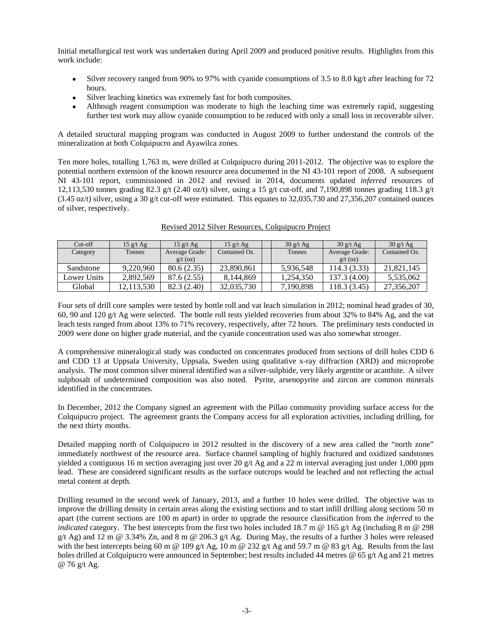Initial metallurgical test work was undertaken during April 2009 and produced positive results. Highlights from this work include:

- Silver recovery ranged from 90% to 97% with cyanide consumptions of 3.5 to 8.0 kg/t after leaching for 72 hours.
- Silver leaching kinetics was extremely fast for both composites.
- Although reagent consumption was moderate to high the leaching time was extremely rapid, suggesting further test work may allow cyanide consumption to be reduced with only a small loss in recoverable silver.

A detailed structural mapping program was conducted in August 2009 to further understand the controls of the mineralization at both Colquipucro and Ayawilca zones.

Ten more holes, totalling 1,763 m, were drilled at Colquipucro during 2011-2012. The objective was to explore the potential northern extension of the known resource area documented in the NI 43-101 report of 2008. A subsequent NI 43-101 report, commissioned in 2012 and revised in 2014, documents updated *inferred* resources of 12,113,530 tonnes grading 82.3 g/t (2.40 oz/t) silver, using a 15 g/t cut-off, and 7,190,898 tonnes grading 118.3 g/t (3.45 oz/t) silver, using a 30 g/t cut-off were estimated. This equates to 32,035,730 and 27,356,207 contained ounces of silver, respectively.

| $Cut-off$   | $15 \frac{g}{t}$ Ag | $15$ g/t Ag    | $15 \frac{\text{g}}{\text{t}}$ Ag | 30 g/t Ag | 30 g/t Ag      | 30 g/t Ag     |
|-------------|---------------------|----------------|-----------------------------------|-----------|----------------|---------------|
| Category    | Tonnes              | Average Grade: | Contained Oz.                     | Tonnes    | Average Grade: | Contained Oz. |
|             |                     | $g/t$ (oz)     |                                   |           | $g/t$ (oz)     |               |
| Sandstone   | 9.220.960           | 80.6(2.35)     | 23.890.861                        | 5.936.548 | 114.3(3.33)    | 21,821,145    |
| Lower Units | 2.892.569           | 87.6 (2.55)    | 8.144.869                         | 1.254.350 | 137.3 (4.00)   | 5,535,062     |
| Global      | 12.113.530          | 82.3 (2.40)    | 32,035,730                        | 7.190.898 | 118.3(3.45)    | 27.356.207    |

Revised 2012 Silver Resources, Colquipucro Project

Four sets of drill core samples were tested by bottle roll and vat leach simulation in 2012; nominal head grades of 30, 60, 90 and 120 g/t Ag were selected. The bottle roll tests yielded recoveries from about 32% to 84% Ag, and the vat leach tests ranged from about 13% to 71% recovery, respectively, after 72 hours. The preliminary tests conducted in 2009 were done on higher grade material, and the cyanide concentration used was also somewhat stronger.

A comprehensive mineralogical study was conducted on concentrates produced from sections of drill holes CDD 6 and CDD 13 at Uppsala University, Uppsala, Sweden using qualitative x-ray diffraction (XRD) and microprobe analysis. The most common silver mineral identified was a silver-sulphide, very likely argentite or acanthite. A silver sulphosalt of undetermined composition was also noted. Pyrite, arsenopyrite and zircon are common minerals identified in the concentrates.

In December, 2012 the Company signed an agreement with the Pillao community providing surface access for the Colquipucro project. The agreement grants the Company access for all exploration activities, including drilling, for the next thirty months.

Detailed mapping north of Colquipucro in 2012 resulted in the discovery of a new area called the "north zone" immediately northwest of the resource area. Surface channel sampling of highly fractured and oxidized sandstones yielded a contiguous 16 m section averaging just over 20  $g/t$  Ag and a 22 m interval averaging just under 1,000 ppm lead. These are considered significant results as the surface outcrops would be leached and not reflecting the actual metal content at depth.

Drilling resumed in the second week of January, 2013, and a further 10 holes were drilled. The objective was to improve the drilling density in certain areas along the existing sections and to start infill drilling along sections 50 m apart (the current sections are 100 m apart) in order to upgrade the resource classification from the *inferred* to the *indicated* category. The best intercepts from the first two holes included 18.7 m @ 165 g/t Ag (including 8 m @ 298  $g/t$  Ag) and 12 m @ 3.34% Zn, and 8 m @ 206.3  $g/t$  Ag. During May, the results of a further 3 holes were released with the best intercepts being 60 m @ 109 g/t Ag, 10 m @ 232 g/t Ag and 59.7 m @ 83 g/t Ag. Results from the last holes drilled at Colquipucro were announced in September; best results included 44 metres @ 65 g/t Ag and 21 metres @ 76 g/t Ag.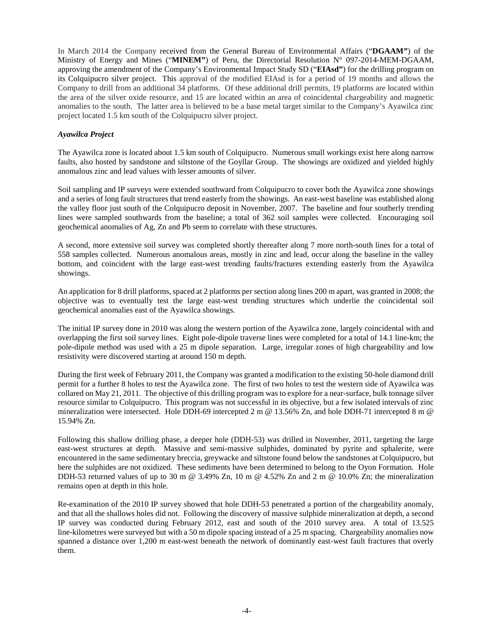In March 2014 the Company received from the General Bureau of Environmental Affairs ("**DGAAM"**) of the Ministry of Energy and Mines ("MINEM") of Peru, the Directorial Resolution N° 097-2014-MEM-DGAAM, approving the amendment of the Company's Environmental Impact Study SD ("**EIAsd"**) for the drilling program on its Colquipucro silver project. This approval of the modified EIAsd is for a period of 19 months and allows the Company to drill from an additional 34 platforms. Of these additional drill permits, 19 platforms are located within the area of the silver oxide resource, and 15 are located within an area of coincidental chargeability and magnetic anomalies to the south. The latter area is believed to be a base metal target similar to the Company's Ayawilca zinc project located 1.5 km south of the Colquipucro silver project.

## *Ayawilca Project*

The Ayawilca zone is located about 1.5 km south of Colquipucro. Numerous small workings exist here along narrow faults, also hosted by sandstone and siltstone of the Goyllar Group. The showings are oxidized and yielded highly anomalous zinc and lead values with lesser amounts of silver.

Soil sampling and IP surveys were extended southward from Colquipucro to cover both the Ayawilca zone showings and a series of long fault structures that trend easterly from the showings. An east-west baseline was established along the valley floor just south of the Colquipucro deposit in November, 2007. The baseline and four southerly trending lines were sampled southwards from the baseline; a total of 362 soil samples were collected. Encouraging soil geochemical anomalies of Ag, Zn and Pb seem to correlate with these structures.

A second, more extensive soil survey was completed shortly thereafter along 7 more north-south lines for a total of 558 samples collected. Numerous anomalous areas, mostly in zinc and lead, occur along the baseline in the valley bottom, and coincident with the large east-west trending faults/fractures extending easterly from the Ayawilca showings.

An application for 8 drill platforms, spaced at 2 platforms per section along lines 200 m apart, was granted in 2008; the objective was to eventually test the large east-west trending structures which underlie the coincidental soil geochemical anomalies east of the Ayawilca showings.

The initial IP survey done in 2010 was along the western portion of the Ayawilca zone, largely coincidental with and overlapping the first soil survey lines. Eight pole-dipole traverse lines were completed for a total of 14.1 line-km; the pole-dipole method was used with a 25 m dipole separation. Large, irregular zones of high chargeability and low resistivity were discovered starting at around 150 m depth.

During the first week of February 2011, the Company was granted a modification to the existing 50-hole diamond drill permit for a further 8 holes to test the Ayawilca zone. The first of two holes to test the western side of Ayawilca was collared on May 21, 2011. The objective of this drilling program was to explore for a near-surface, bulk tonnage silver resource similar to Colquipucro. This program was not successful in its objective, but a few isolated intervals of zinc mineralization were intersected. Hole DDH-69 intercepted 2 m @ 13.56% Zn, and hole DDH-71 intercepted 8 m @ 15.94% Zn.

Following this shallow drilling phase, a deeper hole (DDH-53) was drilled in November, 2011, targeting the large east-west structures at depth. Massive and semi-massive sulphides, dominated by pyrite and sphalerite, were encountered in the same sedimentary breccia, greywacke and siltstone found below the sandstones at Colquipucro, but here the sulphides are not oxidized. These sediments have been determined to belong to the Oyon Formation. Hole DDH-53 returned values of up to 30 m  $\omega$  3.49% Zn, 10 m  $\omega$  4.52% Zn and 2 m  $\omega$  10.0% Zn; the mineralization remains open at depth in this hole.

Re-examination of the 2010 IP survey showed that hole DDH-53 penetrated a portion of the chargeability anomaly, and that all the shallows holes did not. Following the discovery of massive sulphide mineralization at depth, a second IP survey was conducted during February 2012, east and south of the 2010 survey area. A total of 13.525 line-kilometres were surveyed but with a 50 m dipole spacing instead of a 25 m spacing. Chargeability anomalies now spanned a distance over 1,200 m east-west beneath the network of dominantly east-west fault fractures that overly them.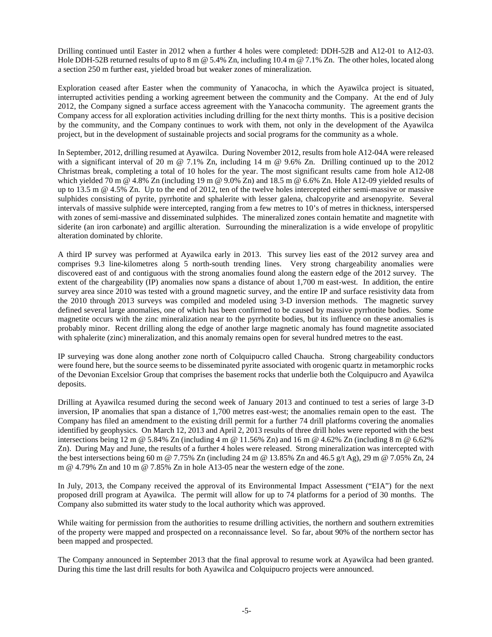Drilling continued until Easter in 2012 when a further 4 holes were completed: DDH-52B and A12-01 to A12-03. Hole DDH-52B returned results of up to 8 m @ 5.4% Zn, including 10.4 m @ 7.1% Zn. The other holes, located along a section 250 m further east, yielded broad but weaker zones of mineralization.

Exploration ceased after Easter when the community of Yanacocha, in which the Ayawilca project is situated, interrupted activities pending a working agreement between the community and the Company. At the end of July 2012, the Company signed a surface access agreement with the Yanacocha community. The agreement grants the Company access for all exploration activities including drilling for the next thirty months. This is a positive decision by the community, and the Company continues to work with them, not only in the development of the Ayawilca project, but in the development of sustainable projects and social programs for the community as a whole.

In September, 2012, drilling resumed at Ayawilca. During November 2012, results from hole A12-04A were released with a significant interval of 20 m @ 7.1% Zn, including 14 m @ 9.6% Zn. Drilling continued up to the 2012 Christmas break, completing a total of 10 holes for the year. The most significant results came from hole A12-08 which yielded 70 m @ 4.8% Zn (including 19 m @ 9.0% Zn) and 18.5 m @ 6.6% Zn. Hole A12-09 yielded results of up to 13.5 m @ 4.5% Zn. Up to the end of 2012, ten of the twelve holes intercepted either semi-massive or massive sulphides consisting of pyrite, pyrrhotite and sphalerite with lesser galena, chalcopyrite and arsenopyrite. Several intervals of massive sulphide were intercepted, ranging from a few metres to 10's of metres in thickness, interspersed with zones of semi-massive and disseminated sulphides. The mineralized zones contain hematite and magnetite with siderite (an iron carbonate) and argillic alteration. Surrounding the mineralization is a wide envelope of propylitic alteration dominated by chlorite.

A third IP survey was performed at Ayawilca early in 2013. This survey lies east of the 2012 survey area and comprises 9.3 line-kilometres along 5 north-south trending lines. Very strong chargeability anomalies were discovered east of and contiguous with the strong anomalies found along the eastern edge of the 2012 survey. The extent of the chargeability (IP) anomalies now spans a distance of about 1,700 m east-west. In addition, the entire survey area since 2010 was tested with a ground magnetic survey, and the entire IP and surface resistivity data from the 2010 through 2013 surveys was compiled and modeled using 3-D inversion methods. The magnetic survey defined several large anomalies, one of which has been confirmed to be caused by massive pyrrhotite bodies. Some magnetite occurs with the zinc mineralization near to the pyrrhotite bodies, but its influence on these anomalies is probably minor. Recent drilling along the edge of another large magnetic anomaly has found magnetite associated with sphalerite (zinc) mineralization, and this anomaly remains open for several hundred metres to the east.

IP surveying was done along another zone north of Colquipucro called Chaucha. Strong chargeability conductors were found here, but the source seems to be disseminated pyrite associated with orogenic quartz in metamorphic rocks of the Devonian Excelsior Group that comprises the basement rocks that underlie both the Colquipucro and Ayawilca deposits.

Drilling at Ayawilca resumed during the second week of January 2013 and continued to test a series of large 3-D inversion, IP anomalies that span a distance of 1,700 metres east-west; the anomalies remain open to the east. The Company has filed an amendment to the existing drill permit for a further 74 drill platforms covering the anomalies identified by geophysics. On March 12, 2013 and April 2, 2013 results of three drill holes were reported with the best intersections being 12 m @ 5.84% Zn (including 4 m @ 11.56% Zn) and 16 m @ 4.62% Zn (including 8 m @ 6.62% Zn). During May and June, the results of a further 4 holes were released. Strong mineralization was intercepted with the best intersections being 60 m @ 7.75% Zn (including 24 m @ 13.85% Zn and 46.5 g/t Ag), 29 m @ 7.05% Zn, 24 m @ 4.79% Zn and 10 m @ 7.85% Zn in hole A13-05 near the western edge of the zone.

In July, 2013, the Company received the approval of its Environmental Impact Assessment ("EIA") for the next proposed drill program at Ayawilca. The permit will allow for up to 74 platforms for a period of 30 months. The Company also submitted its water study to the local authority which was approved.

While waiting for permission from the authorities to resume drilling activities, the northern and southern extremities of the property were mapped and prospected on a reconnaissance level. So far, about 90% of the northern sector has been mapped and prospected.

The Company announced in September 2013 that the final approval to resume work at Ayawilca had been granted. During this time the last drill results for both Ayawilca and Colquipucro projects were announced.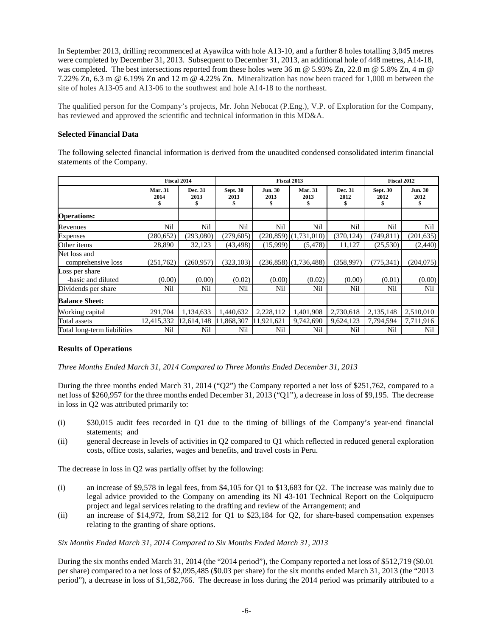In September 2013, drilling recommenced at Ayawilca with hole A13-10, and a further 8 holes totalling 3,045 metres were completed by December 31, 2013. Subsequent to December 31, 2013, an additional hole of 448 metres, A14-18, was completed. The best intersections reported from these holes were 36 m @ 5.93% Zn, 22.8 m @ 5.8% Zn, 4 m @ 7.22% Zn, 6.3 m @ 6.19% Zn and 12 m @ 4.22% Zn. Mineralization has now been traced for 1,000 m between the site of holes A13-05 and A13-06 to the southwest and hole A14-18 to the northeast.

The qualified person for the Company's projects, Mr. John Nebocat (P.Eng.), V.P. of Exploration for the Company, has reviewed and approved the scientific and technical information in this MD&A.

## **Selected Financial Data**

The following selected financial information is derived from the unaudited condensed consolidated interim financial statements of the Company.

|                                      | Fiscal 2014                  |                       | <b>Fiscal 2013</b>      |                              |                              |                       | <b>Fiscal 2012</b>            |                              |
|--------------------------------------|------------------------------|-----------------------|-------------------------|------------------------------|------------------------------|-----------------------|-------------------------------|------------------------------|
|                                      | <b>Mar. 31</b><br>2014<br>\$ | Dec. 31<br>2013<br>\$ | <b>Sept. 30</b><br>2013 | <b>Jun. 30</b><br>2013<br>\$ | <b>Mar. 31</b><br>2013<br>\$ | Dec. 31<br>2012<br>\$ | <b>Sept. 30</b><br>2012<br>\$ | <b>Jun. 30</b><br>2012<br>\$ |
| <b>Operations:</b>                   |                              |                       |                         |                              |                              |                       |                               |                              |
| Revenues                             | Nil                          | Nil                   | Nil                     | Nil                          | Nil                          | Nil                   | Nil                           | Nil                          |
| <b>Expenses</b>                      | (280, 652)                   | (293,080)             | (279, 605)              | (220, 859)                   | (1,731,010)                  | (370, 124)            | (749, 811)                    | (201, 635)                   |
| Other items                          | 28,890                       | 32,123                | (43, 498)               | (15,999)                     | (5, 478)                     | 11,127                | (25,530)                      | (2,440)                      |
| Net loss and<br>comprehensive loss   | (251,762)                    | (260, 957)            | (323, 103)              |                              | $(236,858)$ $(1,736,488)$    | (358,997)             | (775, 341)                    | (204, 075)                   |
| Loss per share<br>-basic and diluted | (0.00)                       | (0.00)                | (0.02)                  | (0.00)                       | (0.02)                       | (0.00)                | (0.01)                        | (0.00)                       |
| Dividends per share                  | Nil                          | Nil                   | Nil                     | Nil                          | Nil                          | Nil                   | Nil                           | Nil                          |
| <b>Balance Sheet:</b>                |                              |                       |                         |                              |                              |                       |                               |                              |
| Working capital                      | 291,704                      | 1,134,633             | 1,440,632               | 2,228,112                    | 1,401,908                    | 2,730,618             | 2,135,148                     | 2,510,010                    |
| Total assets                         | 12,415,332                   | 12,614,148            | 11,868,307              | 11,921,621                   | 9,742,690                    | 9,624,123             | 7,794,594                     | 7,711,916                    |
| Total long-term liabilities          | Nil                          | Nil                   | Nil                     | Nil                          | Nil                          | Nil                   | Nil                           | Nil                          |

# **Results of Operations**

*Three Months Ended March 31, 2014 Compared to Three Months Ended December 31, 2013*

During the three months ended March 31, 2014 ("Q2") the Company reported a net loss of \$251,762, compared to a net loss of \$260,957 for the three months ended December 31, 2013 ("Q1"), a decrease in loss of \$9,195. The decrease in loss in Q2 was attributed primarily to:

- (i) \$30,015 audit fees recorded in Q1 due to the timing of billings of the Company's year-end financial statements; and
- (ii) general decrease in levels of activities in Q2 compared to Q1 which reflected in reduced general exploration costs, office costs, salaries, wages and benefits, and travel costs in Peru.

The decrease in loss in Q2 was partially offset by the following:

- (i) an increase of \$9,578 in legal fees, from \$4,105 for Q1 to \$13,683 for Q2. The increase was mainly due to legal advice provided to the Company on amending its NI 43-101 Technical Report on the Colquipucro project and legal services relating to the drafting and review of the Arrangement; and
- (ii) an increase of \$14,972, from \$8,212 for Q1 to \$23,184 for Q2, for share-based compensation expenses relating to the granting of share options.

# *Six Months Ended March 31, 2014 Compared to Six Months Ended March 31, 2013*

During the six months ended March 31, 2014 (the "2014 period"), the Company reported a net loss of \$512,719 (\$0.01 per share) compared to a net loss of \$2,095,485 (\$0.03 per share) for the six months ended March 31, 2013 (the "2013 period"), a decrease in loss of \$1,582,766. The decrease in loss during the 2014 period was primarily attributed to a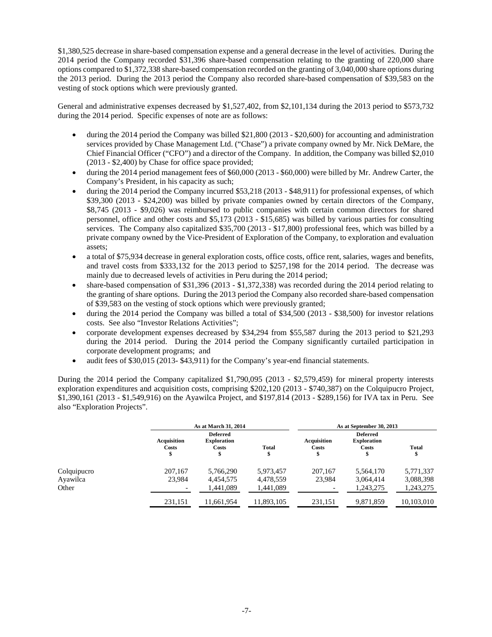\$1,380,525 decrease in share-based compensation expense and a general decrease in the level of activities. During the 2014 period the Company recorded \$31,396 share-based compensation relating to the granting of 220,000 share options compared to \$1,372,338 share-based compensation recorded on the granting of 3,040,000 share options during the 2013 period. During the 2013 period the Company also recorded share-based compensation of \$39,583 on the vesting of stock options which were previously granted.

General and administrative expenses decreased by \$1,527,402, from \$2,101,134 during the 2013 period to \$573,732 during the 2014 period. Specific expenses of note are as follows:

- during the 2014 period the Company was billed \$21,800 (2013 \$20,600) for accounting and administration services provided by Chase Management Ltd. ("Chase") a private company owned by Mr. Nick DeMare, the Chief Financial Officer ("CFO") and a director of the Company. In addition, the Company was billed \$2,010 (2013 - \$2,400) by Chase for office space provided;
- during the 2014 period management fees of \$60,000 (2013 \$60,000) were billed by Mr. Andrew Carter, the Company's President, in his capacity as such;
- during the 2014 period the Company incurred \$53,218 (2013 \$48,911) for professional expenses, of which \$39,300 (2013 - \$24,200) was billed by private companies owned by certain directors of the Company, \$8,745 (2013 - \$9,026) was reimbursed to public companies with certain common directors for shared personnel, office and other costs and \$5,173 (2013 - \$15,685) was billed by various parties for consulting services. The Company also capitalized \$35,700 (2013 - \$17,800) professional fees, which was billed by a private company owned by the Vice-President of Exploration of the Company, to exploration and evaluation assets;
- a total of \$75,934 decrease in general exploration costs, office costs, office rent, salaries, wages and benefits, and travel costs from \$333,132 for the 2013 period to \$257,198 for the 2014 period. The decrease was mainly due to decreased levels of activities in Peru during the 2014 period;
- share-based compensation of \$31,396 (2013 \$1,372,338) was recorded during the 2014 period relating to the granting of share options. During the 2013 period the Company also recorded share-based compensation of \$39,583 on the vesting of stock options which were previously granted;
- during the 2014 period the Company was billed a total of \$34,500 (2013 \$38,500) for investor relations costs. See also "Investor Relations Activities";
- corporate development expenses decreased by \$34,294 from \$55,587 during the 2013 period to \$21,293 during the 2014 period. During the 2014 period the Company significantly curtailed participation in corporate development programs; and
- audit fees of \$30,015 (2013- \$43,911) for the Company's year-end financial statements.

During the 2014 period the Company capitalized \$1,790,095 (2013 - \$2,579,459) for mineral property interests exploration expenditures and acquisition costs, comprising \$202,120 (2013 - \$740,387) on the Colquipucro Project, \$1,390,161 (2013 - \$1,549,916) on the Ayawilca Project, and \$197,814 (2013 - \$289,156) for IVA tax in Peru. See also "Exploration Projects".

|             |                             | As at March 31, 2014                                 |                   | As at September 30, 2013         |                                                |                    |  |
|-------------|-----------------------------|------------------------------------------------------|-------------------|----------------------------------|------------------------------------------------|--------------------|--|
|             | <b>Acquisition</b><br>Costs | <b>Deferred</b><br><b>Exploration</b><br>Costs<br>\$ | <b>Total</b><br>Ф | <b>Acquisition</b><br>Costs<br>J | <b>Deferred</b><br><b>Exploration</b><br>Costs | <b>Total</b><br>\$ |  |
| Colquipucro | 207,167                     | 5,766,290                                            | 5,973,457         | 207,167                          | 5,564,170                                      | 5,771,337          |  |
| Ayawilca    | 23,984                      | 4,454,575                                            | 4,478,559         | 23,984                           | 3.064.414                                      | 3,088,398          |  |
| Other       |                             | 1,441,089                                            | 1,441,089         |                                  | 1,243,275                                      | 1,243,275          |  |
|             | 231,151                     | 11,661,954                                           | 11,893,105        | 231.151                          | 9,871,859                                      | 10,103,010         |  |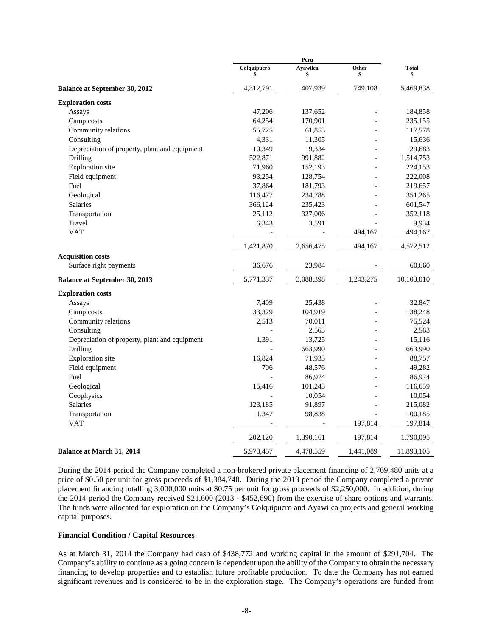|                                               | Colquipucro | Ayawilca<br>\$ | Other<br>\$    | <b>Total</b><br>\$ |
|-----------------------------------------------|-------------|----------------|----------------|--------------------|
| <b>Balance at September 30, 2012</b>          | 4,312,791   | 407,939        | 749,108        | 5,469,838          |
| <b>Exploration costs</b>                      |             |                |                |                    |
| Assays                                        | 47,206      | 137,652        |                | 184,858            |
| Camp costs                                    | 64,254      | 170,901        |                | 235,155            |
| Community relations                           | 55,725      | 61,853         |                | 117,578            |
| Consulting                                    | 4,331       | 11,305         |                | 15,636             |
| Depreciation of property, plant and equipment | 10,349      | 19,334         |                | 29,683             |
| Drilling                                      | 522,871     | 991,882        |                | 1,514,753          |
| Exploration site                              | 71,960      | 152,193        |                | 224,153            |
| Field equipment                               | 93,254      | 128,754        |                | 222,008            |
| Fuel                                          | 37,864      | 181,793        |                | 219,657            |
| Geological                                    | 116,477     | 234,788        |                | 351,265            |
| <b>Salaries</b>                               | 366,124     | 235,423        |                | 601,547            |
| Transportation                                | 25,112      | 327,006        |                | 352,118            |
| Travel                                        | 6,343       | 3,591          |                | 9,934              |
| <b>VAT</b>                                    |             |                | 494,167        | 494,167            |
|                                               | 1,421,870   | 2,656,475      | 494,167        | 4,572,512          |
| <b>Acquisition costs</b>                      |             |                |                |                    |
| Surface right payments                        | 36,676      | 23,984         |                | 60,660             |
| <b>Balance at September 30, 2013</b>          | 5,771,337   | 3,088,398      | 1,243,275      | 10,103,010         |
| <b>Exploration costs</b>                      |             |                |                |                    |
| Assays                                        | 7,409       | 25,438         |                | 32,847             |
| Camp costs                                    | 33,329      | 104,919        |                | 138,248            |
| Community relations                           | 2,513       | 70,011         |                | 75,524             |
| Consulting                                    |             | 2,563          |                | 2,563              |
| Depreciation of property, plant and equipment | 1,391       | 13,725         |                | 15,116             |
| Drilling                                      |             | 663,990        |                | 663,990            |
| Exploration site                              | 16,824      | 71,933         | $\overline{a}$ | 88,757             |
| Field equipment                               | 706         | 48,576         |                | 49,282             |
| Fuel                                          |             | 86,974         |                | 86,974             |
| Geological                                    | 15,416      | 101,243        |                | 116,659            |
| Geophysics                                    |             | 10,054         |                | 10,054             |
| Salaries                                      | 123,185     | 91,897         |                | 215,082            |
| Transportation                                | 1,347       | 98,838         |                | 100,185            |
| <b>VAT</b>                                    |             |                | 197,814        | 197,814            |
|                                               | 202,120     | 1,390,161      | 197,814        | 1,790,095          |
| <b>Balance at March 31, 2014</b>              | 5,973,457   | 4,478,559      | 1,441,089      | 11,893,105         |

During the 2014 period the Company completed a non-brokered private placement financing of 2,769,480 units at a price of \$0.50 per unit for gross proceeds of \$1,384,740. During the 2013 period the Company completed a private placement financing totalling 3,000,000 units at \$0.75 per unit for gross proceeds of \$2,250,000. In addition, during the 2014 period the Company received \$21,600 (2013 - \$452,690) from the exercise of share options and warrants. The funds were allocated for exploration on the Company's Colquipucro and Ayawilca projects and general working capital purposes.

#### **Financial Condition / Capital Resources**

As at March 31, 2014 the Company had cash of \$438,772 and working capital in the amount of \$291,704. The Company's ability to continue as a going concern is dependent upon the ability of the Company to obtain the necessary financing to develop properties and to establish future profitable production. To date the Company has not earned significant revenues and is considered to be in the exploration stage. The Company's operations are funded from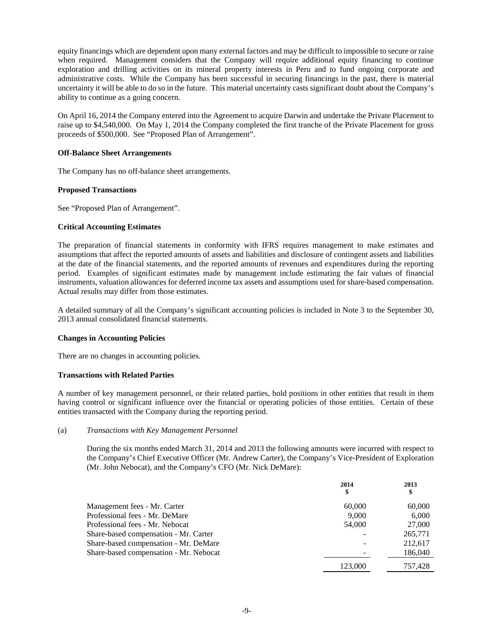equity financings which are dependent upon many external factors and may be difficult to impossible to secure or raise when required. Management considers that the Company will require additional equity financing to continue exploration and drilling activities on its mineral property interests in Peru and to fund ongoing corporate and administrative costs. While the Company has been successful in securing financings in the past, there is material uncertainty it will be able to do so in the future. This material uncertainty casts significant doubt about the Company's ability to continue as a going concern.

On April 16, 2014 the Company entered into the Agreement to acquire Darwin and undertake the Private Placement to raise up to \$4,540,000. On May 1, 2014 the Company completed the first tranche of the Private Placement for gross proceeds of \$500,000. See "Proposed Plan of Arrangement".

## **Off-Balance Sheet Arrangements**

The Company has no off-balance sheet arrangements.

#### **Proposed Transactions**

See "Proposed Plan of Arrangement".

#### **Critical Accounting Estimates**

The preparation of financial statements in conformity with IFRS requires management to make estimates and assumptions that affect the reported amounts of assets and liabilities and disclosure of contingent assets and liabilities at the date of the financial statements, and the reported amounts of revenues and expenditures during the reporting period. Examples of significant estimates made by management include estimating the fair values of financial instruments, valuation allowances for deferred income tax assets and assumptions used for share-based compensation. Actual results may differ from those estimates.

A detailed summary of all the Company's significant accounting policies is included in Note 3 to the September 30, 2013 annual consolidated financial statements.

#### **Changes in Accounting Policies**

There are no changes in accounting policies.

## **Transactions with Related Parties**

A number of key management personnel, or their related parties, hold positions in other entities that result in them having control or significant influence over the financial or operating policies of those entities. Certain of these entities transacted with the Company during the reporting period.

#### (a) *Transactions with Key Management Personnel*

During the six months ended March 31, 2014 and 2013 the following amounts were incurred with respect to the Company's Chief Executive Officer (Mr. Andrew Carter), the Company's Vice-President of Exploration (Mr. John Nebocat), and the Company's CFO (Mr. Nick DeMare):

|                                        | 2014<br>\$ | 2013<br>\$ |
|----------------------------------------|------------|------------|
| Management fees - Mr. Carter           | 60,000     | 60,000     |
| Professional fees - Mr. DeMare         | 9.000      | 6,000      |
| Professional fees - Mr. Nebocat        | 54,000     | 27,000     |
| Share-based compensation - Mr. Carter  |            | 265,771    |
| Share-based compensation - Mr. DeMare  |            | 212.617    |
| Share-based compensation - Mr. Nebocat |            | 186,040    |
|                                        | 123.000    | 757.428    |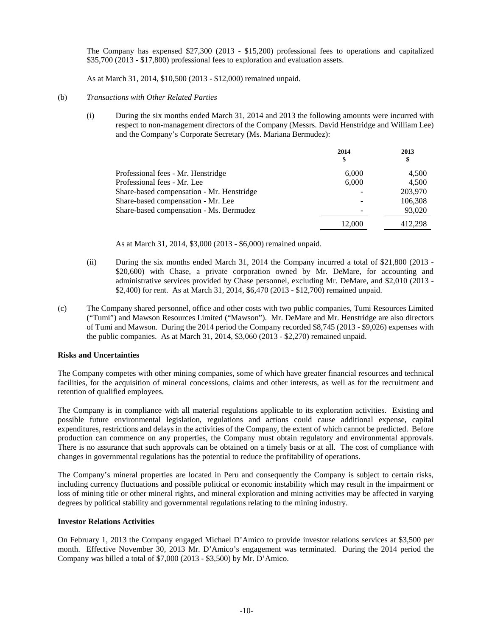The Company has expensed \$27,300 (2013 - \$15,200) professional fees to operations and capitalized \$35,700 (2013 - \$17,800) professional fees to exploration and evaluation assets.

As at March 31, 2014, \$10,500 (2013 - \$12,000) remained unpaid.

#### (b) *Transactions with Other Related Parties*

(i) During the six months ended March 31, 2014 and 2013 the following amounts were incurred with respect to non-management directors of the Company (Messrs. David Henstridge and William Lee) and the Company's Corporate Secretary (Ms. Mariana Bermudez):

|                                           | 2014<br>\$ | 2013<br>\$ |
|-------------------------------------------|------------|------------|
| Professional fees - Mr. Henstridge        | 6,000      | 4,500      |
| Professional fees - Mr. Lee               | 6,000      | 4,500      |
| Share-based compensation - Mr. Henstridge |            | 203,970    |
| Share-based compensation - Mr. Lee        |            | 106,308    |
| Share-based compensation - Ms. Bermudez   |            | 93,020     |
|                                           | 12.000     | 412.298    |

As at March 31, 2014, \$3,000 (2013 - \$6,000) remained unpaid.

- (ii) During the six months ended March 31, 2014 the Company incurred a total of \$21,800 (2013 \$20,600) with Chase, a private corporation owned by Mr. DeMare, for accounting and administrative services provided by Chase personnel, excluding Mr. DeMare, and \$2,010 (2013 - \$2,400) for rent. As at March 31, 2014, \$6,470 (2013 - \$12,700) remained unpaid.
- (c) The Company shared personnel, office and other costs with two public companies, Tumi Resources Limited ("Tumi") and Mawson Resources Limited ("Mawson"). Mr. DeMare and Mr. Henstridge are also directors of Tumi and Mawson. During the 2014 period the Company recorded \$8,745 (2013 - \$9,026) expenses with the public companies. As at March 31, 2014, \$3,060 (2013 - \$2,270) remained unpaid.

# **Risks and Uncertainties**

The Company competes with other mining companies, some of which have greater financial resources and technical facilities, for the acquisition of mineral concessions, claims and other interests, as well as for the recruitment and retention of qualified employees.

The Company is in compliance with all material regulations applicable to its exploration activities. Existing and possible future environmental legislation, regulations and actions could cause additional expense, capital expenditures, restrictions and delays in the activities of the Company, the extent of which cannot be predicted. Before production can commence on any properties, the Company must obtain regulatory and environmental approvals. There is no assurance that such approvals can be obtained on a timely basis or at all. The cost of compliance with changes in governmental regulations has the potential to reduce the profitability of operations.

The Company's mineral properties are located in Peru and consequently the Company is subject to certain risks, including currency fluctuations and possible political or economic instability which may result in the impairment or loss of mining title or other mineral rights, and mineral exploration and mining activities may be affected in varying degrees by political stability and governmental regulations relating to the mining industry.

## **Investor Relations Activities**

On February 1, 2013 the Company engaged Michael D'Amico to provide investor relations services at \$3,500 per month. Effective November 30, 2013 Mr. D'Amico's engagement was terminated. During the 2014 period the Company was billed a total of \$7,000 (2013 - \$3,500) by Mr. D'Amico.